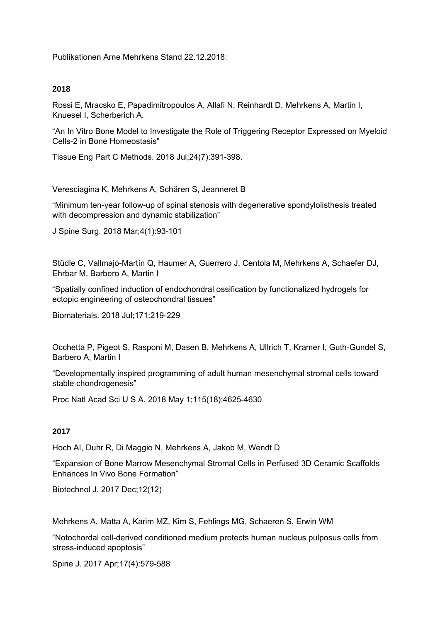Publikationen Arne Mehrkens Stand 22.12.2018:

## **2018**

Rossi E, Mracsko E, Papadimitropoulos A, Allafi N, Reinhardt D, Mehrkens A, Martin I, Knuesel I, Scherberich A.

"An In Vitro Bone Model to Investigate the Role of Triggering Receptor Expressed on Myeloid Cells-2 in Bone Homeostasis"

Tissue Eng Part C Methods. 2018 Jul;24(7):391-398.

Veresciagina K, Mehrkens A, Schären S, Jeanneret B

"Minimum ten-year follow-up of spinal stenosis with degenerative spondylolisthesis treated with decompression and dynamic stabilization"

J Spine Surg. 2018 Mar;4(1):93-101

Stüdle C, Vallmajó-Martín Q, Haumer A, Guerrero J, Centola M, Mehrkens A, Schaefer DJ, Ehrbar M, Barbero A, Martin I

"Spatially confined induction of endochondral ossification by functionalized hydrogels for ectopic engineering of osteochondral tissues"

Biomaterials. 2018 Jul;171:219-229

Occhetta P, Pigeot S, Rasponi M, Dasen B, Mehrkens A, Ullrich T, Kramer I, Guth-Gundel S, Barbero A, Martin I

"Developmentally inspired programming of adult human mesenchymal stromal cells toward stable chondrogenesis"

Proc Natl Acad Sci U S A. 2018 May 1;115(18):4625-4630

# **2017**

Hoch AI, Duhr R, Di Maggio N, Mehrkens A, Jakob M, Wendt D

"Expansion of Bone Marrow Mesenchymal Stromal Cells in Perfused 3D Ceramic Scaffolds Enhances In Vivo Bone Formation"

Biotechnol J. 2017 Dec;12(12)

Mehrkens A, Matta A, Karim MZ, Kim S, Fehlings MG, Schaeren S, Erwin WM

"Notochordal cell-derived conditioned medium protects human nucleus pulposus cells from stress-induced apoptosis"

Spine J. 2017 Apr;17(4):579-588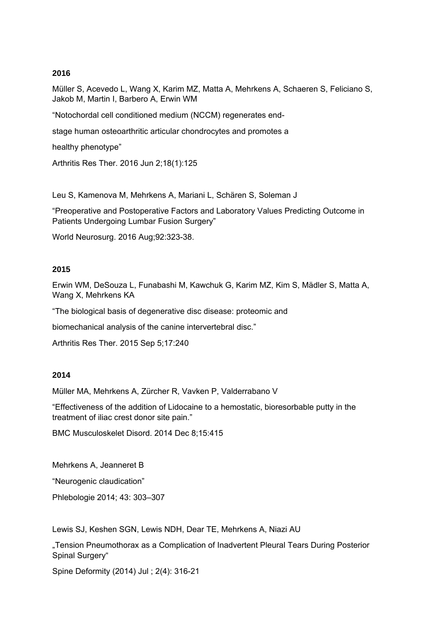# **2016**

Müller S, Acevedo L, Wang X, Karim MZ, Matta A, Mehrkens A, Schaeren S, Feliciano S, Jakob M, Martin I, Barbero A, Erwin WM

"Notochordal cell conditioned medium (NCCM) regenerates end-

stage human osteoarthritic articular chondrocytes and promotes a

healthy phenotype"

Arthritis Res Ther. 2016 Jun 2;18(1):125

Leu S, Kamenova M, Mehrkens A, Mariani L, Schären S, Soleman J

"Preoperative and Postoperative Factors and Laboratory Values Predicting Outcome in Patients Undergoing Lumbar Fusion Surgery"

World Neurosurg. 2016 Aug;92:323-38.

## **2015**

Erwin WM, DeSouza L, Funabashi M, Kawchuk G, Karim MZ, Kim S, Mӓdler S, Matta A, Wang X, Mehrkens KA

"The biological basis of degenerative disc disease: proteomic and

biomechanical analysis of the canine intervertebral disc."

Arthritis Res Ther. 2015 Sep 5;17:240

#### **2014**

Müller MA, Mehrkens A, Zürcher R, Vavken P, Valderrabano V

"Effectiveness of the addition of Lidocaine to a hemostatic, bioresorbable putty in the treatment of iliac crest donor site pain."

BMC Musculoskelet Disord. 2014 Dec 8;15:415

Mehrkens A, Jeanneret B

"Neurogenic claudication"

Phlebologie 2014; 43: 303–307

Lewis SJ, Keshen SGN, Lewis NDH, Dear TE, Mehrkens A, Niazi AU

"Tension Pneumothorax as a Complication of Inadvertent Pleural Tears During Posterior Spinal Surgery"

Spine Deformity (2014) Jul ; 2(4): 316-21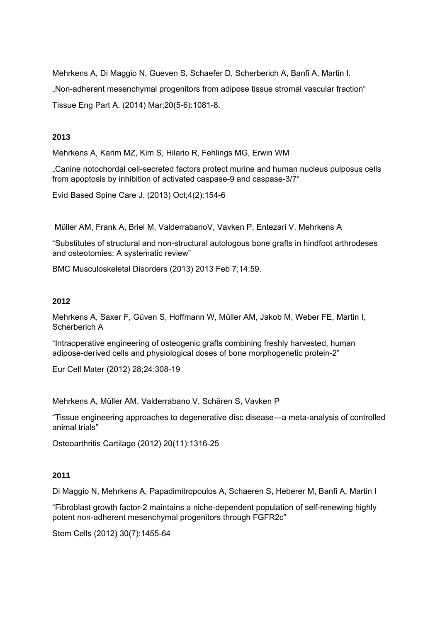Mehrkens A, Di Maggio N, Gueven S, Schaefer D, Scherberich A, Banfi A, Martin I. "Non-adherent mesenchymal progenitors from adipose tissue stromal vascular fraction" Tissue Eng Part A. (2014) Mar;20(5-6):1081-8.

# **2013**

Mehrkens A, Karim MZ, Kim S, Hilario R, Fehlings MG, Erwin WM

"Canine notochordal cell-secreted factors protect murine and human nucleus pulposus cells from apoptosis by inhibition of activated caspase-9 and caspase-3/7"

Evid Based Spine Care J. (2013) Oct;4(2):154-6

Müller AM, Frank A, Briel M, ValderrabanoV, Vavken P, Entezari V, Mehrkens A

"Substitutes of structural and non-structural autologous bone grafts in hindfoot arthrodeses and osteotomies: A systematic review"

BMC Musculoskeletal Disorders (2013) 2013 Feb 7;14:59.

## **2012**

Mehrkens A, Saxer F, Güven S, Hoffmann W, Müller AM, Jakob M, Weber FE, Martin I, Scherberich A

"Intraoperative engineering of osteogenic grafts combining freshly harvested, human adipose-derived cells and physiological doses of bone morphogenetic protein-2"

Eur Cell Mater (2012) 28;24:308-19

Mehrkens A, Müller AM, Valderrabano V, Schären S, Vavken P

"Tissue engineering approaches to degenerative disc disease—a meta-analysis of controlled animal trials"

Osteoarthritis Cartilage (2012) 20(11):1316-25

#### **2011**

Di Maggio N, Mehrkens A, Papadimitropoulos A, Schaeren S, Heberer M, Banfi A, Martin I

"Fibroblast growth factor-2 maintains a niche-dependent population of self-renewing highly potent non-adherent mesenchymal progenitors through FGFR2c"

Stem Cells (2012) 30(7):1455-64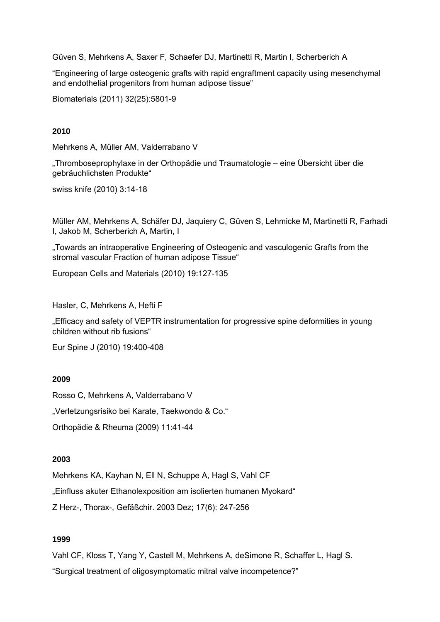Güven S, Mehrkens A, Saxer F, Schaefer DJ, Martinetti R, Martin I, Scherberich A

"Engineering of large osteogenic grafts with rapid engraftment capacity using mesenchymal and endothelial progenitors from human adipose tissue"

Biomaterials (2011) 32(25):5801-9

# **2010**

Mehrkens A, Müller AM, Valderrabano V

"Thromboseprophylaxe in der Orthopädie und Traumatologie – eine Übersicht über die gebräuchlichsten Produkte"

swiss knife (2010) 3:14-18

Müller AM, Mehrkens A, Schäfer DJ, Jaquiery C, Güven S, Lehmicke M, Martinetti R, Farhadi I, Jakob M, Scherberich A, Martin, I

"Towards an intraoperative Engineering of Osteogenic and vasculogenic Grafts from the stromal vascular Fraction of human adipose Tissue"

European Cells and Materials (2010) 19:127-135

Hasler, C, Mehrkens A, Hefti F

"Efficacy and safety of VEPTR instrumentation for progressive spine deformities in young children without rib fusions"

Eur Spine J (2010) 19:400-408

#### **2009**

Rosso C, Mehrkens A, Valderrabano V

"Verletzungsrisiko bei Karate, Taekwondo & Co."

Orthopädie & Rheuma (2009) 11:41-44

# **2003**

Mehrkens KA, Kayhan N, Ell N, Schuppe A, Hagl S, Vahl CF "Einfluss akuter Ethanolexposition am isolierten humanen Myokard" Z Herz-, Thorax-, Gefäßchir. 2003 Dez; 17(6): 247-256

# **1999**

Vahl CF, Kloss T, Yang Y, Castell M, Mehrkens A, deSimone R, Schaffer L, Hagl S. "Surgical treatment of oligosymptomatic mitral valve incompetence?"